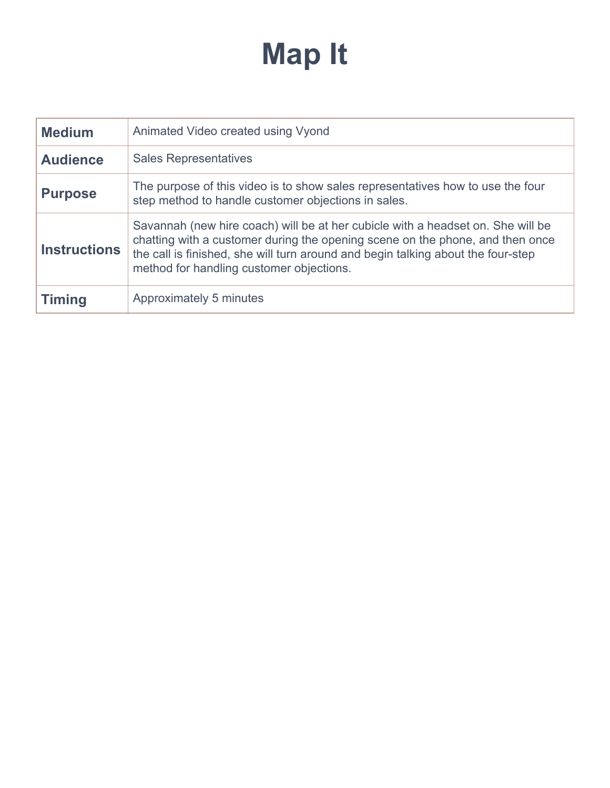## **Map It**

| <b>Medium</b>                                                                                                                                                                                                                                                                                                           | Animated Video created using Vyond                                                                                                    |  |
|-------------------------------------------------------------------------------------------------------------------------------------------------------------------------------------------------------------------------------------------------------------------------------------------------------------------------|---------------------------------------------------------------------------------------------------------------------------------------|--|
| <b>Audience</b>                                                                                                                                                                                                                                                                                                         | <b>Sales Representatives</b>                                                                                                          |  |
| <b>Purpose</b>                                                                                                                                                                                                                                                                                                          | The purpose of this video is to show sales representatives how to use the four<br>step method to handle customer objections in sales. |  |
| Savannah (new hire coach) will be at her cubicle with a headset on. She will be<br>chatting with a customer during the opening scene on the phone, and then once<br><b>Instructions</b><br>the call is finished, she will turn around and begin talking about the four-step<br>method for handling customer objections. |                                                                                                                                       |  |
| <b>Timing</b>                                                                                                                                                                                                                                                                                                           | Approximately 5 minutes                                                                                                               |  |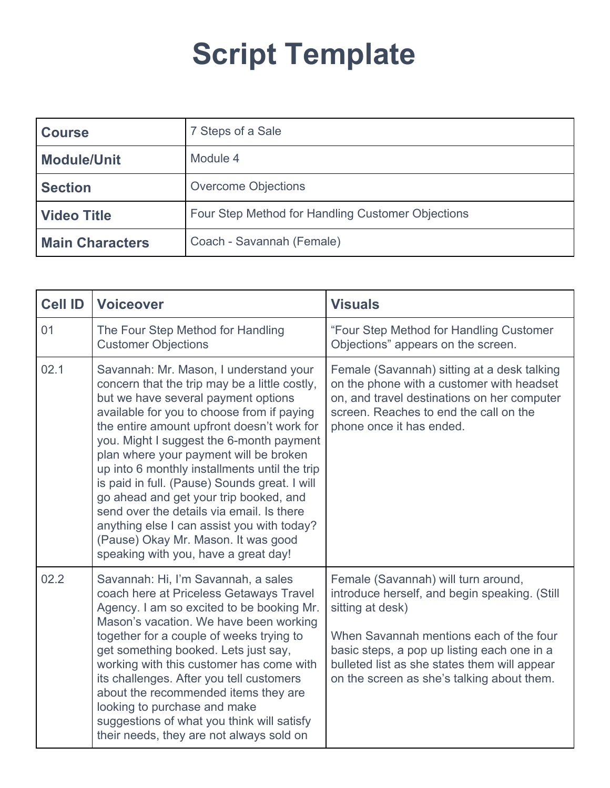## **Script Template**

| <b>Course</b>          | 7 Steps of a Sale                                 |
|------------------------|---------------------------------------------------|
| <b>Module/Unit</b>     | Module 4                                          |
| <b>Section</b>         | <b>Overcome Objections</b>                        |
| <b>Video Title</b>     | Four Step Method for Handling Customer Objections |
| <b>Main Characters</b> | Coach - Savannah (Female)                         |

| <b>Cell ID</b> | <b>Voiceover</b>                                                                                                                                                                                                                                                                                                                                                                                                                                                                                                                                                                                                                       | <b>Visuals</b>                                                                                                                                                                                                                                                                                   |
|----------------|----------------------------------------------------------------------------------------------------------------------------------------------------------------------------------------------------------------------------------------------------------------------------------------------------------------------------------------------------------------------------------------------------------------------------------------------------------------------------------------------------------------------------------------------------------------------------------------------------------------------------------------|--------------------------------------------------------------------------------------------------------------------------------------------------------------------------------------------------------------------------------------------------------------------------------------------------|
| 01             | The Four Step Method for Handling<br><b>Customer Objections</b>                                                                                                                                                                                                                                                                                                                                                                                                                                                                                                                                                                        | "Four Step Method for Handling Customer<br>Objections" appears on the screen.                                                                                                                                                                                                                    |
| 02.1           | Savannah: Mr. Mason, I understand your<br>concern that the trip may be a little costly,<br>but we have several payment options<br>available for you to choose from if paying<br>the entire amount upfront doesn't work for<br>you. Might I suggest the 6-month payment<br>plan where your payment will be broken<br>up into 6 monthly installments until the trip<br>is paid in full. (Pause) Sounds great. I will<br>go ahead and get your trip booked, and<br>send over the details via email. Is there<br>anything else I can assist you with today?<br>(Pause) Okay Mr. Mason. It was good<br>speaking with you, have a great day! | Female (Savannah) sitting at a desk talking<br>on the phone with a customer with headset<br>on, and travel destinations on her computer<br>screen. Reaches to end the call on the<br>phone once it has ended.                                                                                    |
| 02.2           | Savannah: Hi, I'm Savannah, a sales<br>coach here at Priceless Getaways Travel<br>Agency. I am so excited to be booking Mr.<br>Mason's vacation. We have been working<br>together for a couple of weeks trying to<br>get something booked. Lets just say,<br>working with this customer has come with<br>its challenges. After you tell customers<br>about the recommended items they are<br>looking to purchase and make<br>suggestions of what you think will satisfy<br>their needs, they are not always sold on                                                                                                                    | Female (Savannah) will turn around,<br>introduce herself, and begin speaking. (Still<br>sitting at desk)<br>When Savannah mentions each of the four<br>basic steps, a pop up listing each one in a<br>bulleted list as she states them will appear<br>on the screen as she's talking about them. |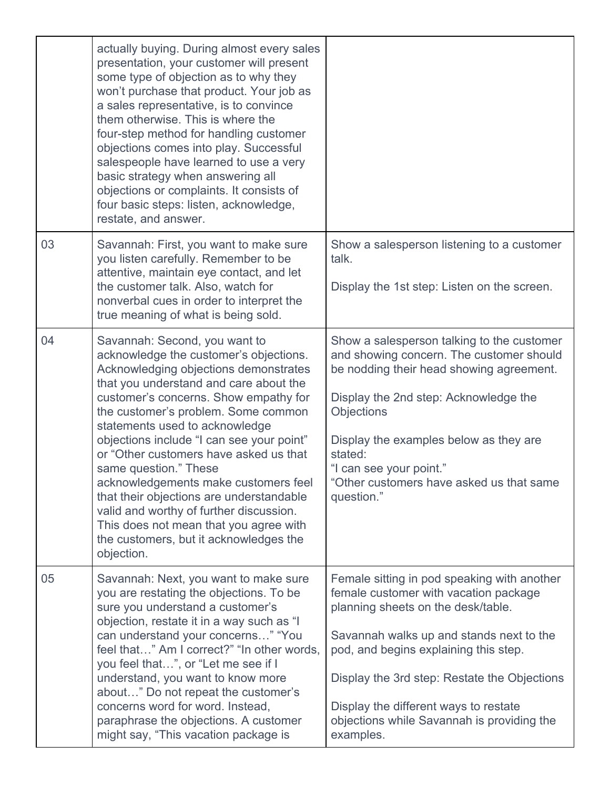|    | actually buying. During almost every sales<br>presentation, your customer will present<br>some type of objection as to why they<br>won't purchase that product. Your job as<br>a sales representative, is to convince<br>them otherwise. This is where the<br>four-step method for handling customer<br>objections comes into play. Successful<br>salespeople have learned to use a very<br>basic strategy when answering all<br>objections or complaints. It consists of<br>four basic steps: listen, acknowledge,<br>restate, and answer.                                                                                   |                                                                                                                                                                                                                                                                                                                                                                     |
|----|-------------------------------------------------------------------------------------------------------------------------------------------------------------------------------------------------------------------------------------------------------------------------------------------------------------------------------------------------------------------------------------------------------------------------------------------------------------------------------------------------------------------------------------------------------------------------------------------------------------------------------|---------------------------------------------------------------------------------------------------------------------------------------------------------------------------------------------------------------------------------------------------------------------------------------------------------------------------------------------------------------------|
| 03 | Savannah: First, you want to make sure<br>you listen carefully. Remember to be<br>attentive, maintain eye contact, and let<br>the customer talk. Also, watch for<br>nonverbal cues in order to interpret the<br>true meaning of what is being sold.                                                                                                                                                                                                                                                                                                                                                                           | Show a salesperson listening to a customer<br>talk.<br>Display the 1st step: Listen on the screen.                                                                                                                                                                                                                                                                  |
| 04 | Savannah: Second, you want to<br>acknowledge the customer's objections.<br>Acknowledging objections demonstrates<br>that you understand and care about the<br>customer's concerns. Show empathy for<br>the customer's problem. Some common<br>statements used to acknowledge<br>objections include "I can see your point"<br>or "Other customers have asked us that<br>same question." These<br>acknowledgements make customers feel<br>that their objections are understandable<br>valid and worthy of further discussion.<br>This does not mean that you agree with<br>the customers, but it acknowledges the<br>objection. | Show a salesperson talking to the customer<br>and showing concern. The customer should<br>be nodding their head showing agreement.<br>Display the 2nd step: Acknowledge the<br><b>Objections</b><br>Display the examples below as they are<br>stated:<br>"I can see your point."<br>"Other customers have asked us that same<br>question."                          |
| 05 | Savannah: Next, you want to make sure<br>you are restating the objections. To be<br>sure you understand a customer's<br>objection, restate it in a way such as "I<br>can understand your concerns" "You<br>feel that" Am I correct?" "In other words,<br>you feel that", or "Let me see if I<br>understand, you want to know more<br>about" Do not repeat the customer's<br>concerns word for word. Instead,<br>paraphrase the objections. A customer<br>might say, "This vacation package is                                                                                                                                 | Female sitting in pod speaking with another<br>female customer with vacation package<br>planning sheets on the desk/table.<br>Savannah walks up and stands next to the<br>pod, and begins explaining this step.<br>Display the 3rd step: Restate the Objections<br>Display the different ways to restate<br>objections while Savannah is providing the<br>examples. |